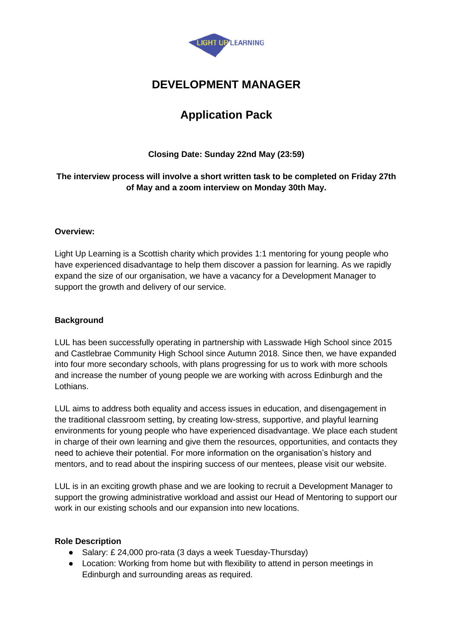

# **DEVELOPMENT MANAGER**

# **Application Pack**

## **Closing Date: Sunday 22nd May (23:59)**

### **The interview process will involve a short written task to be completed on Friday 27th of May and a zoom interview on Monday 30th May.**

#### **Overview:**

Light Up Learning is a Scottish charity which provides 1:1 mentoring for young people who have experienced disadvantage to help them discover a passion for learning. As we rapidly expand the size of our organisation, we have a vacancy for a Development Manager to support the growth and delivery of our service.

#### **Background**

LUL has been successfully operating in partnership with Lasswade High School since 2015 and Castlebrae Community High School since Autumn 2018. Since then, we have expanded into four more secondary schools, with plans progressing for us to work with more schools and increase the number of young people we are working with across Edinburgh and the Lothians.

LUL aims to address both equality and access issues in education, and disengagement in the traditional classroom setting, by creating low-stress, supportive, and playful learning environments for young people who have experienced disadvantage. We place each student in charge of their own learning and give them the resources, opportunities, and contacts they need to achieve their potential. For more information on the organisation's history and mentors, and to read about the inspiring success of our mentees, please visit our website.

LUL is in an exciting growth phase and we are looking to recruit a Development Manager to support the growing administrative workload and assist our Head of Mentoring to support our work in our existing schools and our expansion into new locations.

#### **Role Description**

- Salary: £ 24,000 pro-rata (3 days a week Tuesday-Thursday)
- Location: Working from home but with flexibility to attend in person meetings in Edinburgh and surrounding areas as required.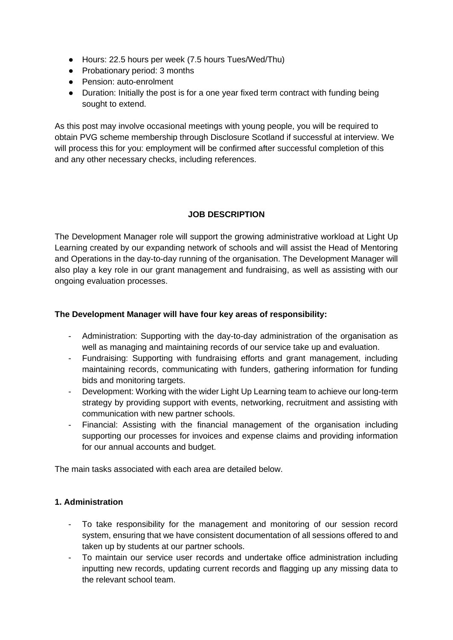- Hours: 22.5 hours per week (7.5 hours Tues/Wed/Thu)
- Probationary period: 3 months
- Pension: auto-enrolment
- Duration: Initially the post is for a one year fixed term contract with funding being sought to extend.

As this post may involve occasional meetings with young people, you will be required to obtain PVG scheme membership through Disclosure Scotland if successful at interview. We will process this for you: employment will be confirmed after successful completion of this and any other necessary checks, including references.

#### **JOB DESCRIPTION**

The Development Manager role will support the growing administrative workload at Light Up Learning created by our expanding network of schools and will assist the Head of Mentoring and Operations in the day-to-day running of the organisation. The Development Manager will also play a key role in our grant management and fundraising, as well as assisting with our ongoing evaluation processes.

#### **The Development Manager will have four key areas of responsibility:**

- Administration: Supporting with the day-to-day administration of the organisation as well as managing and maintaining records of our service take up and evaluation.
- Fundraising: Supporting with fundraising efforts and grant management, including maintaining records, communicating with funders, gathering information for funding bids and monitoring targets.
- Development: Working with the wider Light Up Learning team to achieve our long-term strategy by providing support with events, networking, recruitment and assisting with communication with new partner schools.
- Financial: Assisting with the financial management of the organisation including supporting our processes for invoices and expense claims and providing information for our annual accounts and budget.

The main tasks associated with each area are detailed below.

#### **1. Administration**

- To take responsibility for the management and monitoring of our session record system, ensuring that we have consistent documentation of all sessions offered to and taken up by students at our partner schools.
- To maintain our service user records and undertake office administration including inputting new records, updating current records and flagging up any missing data to the relevant school team.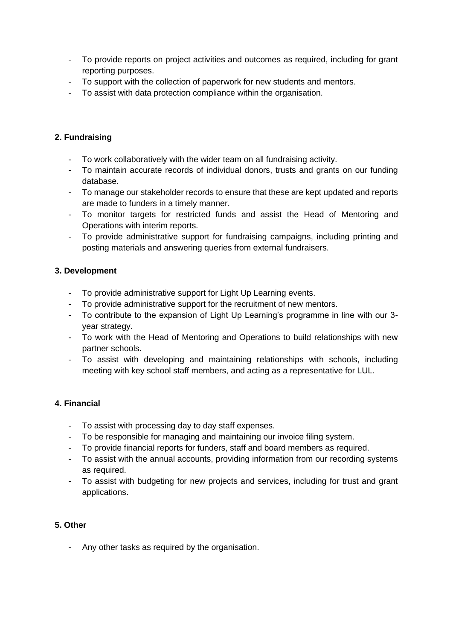- To provide reports on project activities and outcomes as required, including for grant reporting purposes.
- To support with the collection of paperwork for new students and mentors.
- To assist with data protection compliance within the organisation.

## **2. Fundraising**

- To work collaboratively with the wider team on all fundraising activity.
- To maintain accurate records of individual donors, trusts and grants on our funding database.
- To manage our stakeholder records to ensure that these are kept updated and reports are made to funders in a timely manner.
- To monitor targets for restricted funds and assist the Head of Mentoring and Operations with interim reports.
- To provide administrative support for fundraising campaigns, including printing and posting materials and answering queries from external fundraisers.

## **3. Development**

- To provide administrative support for Light Up Learning events.
- To provide administrative support for the recruitment of new mentors.
- To contribute to the expansion of Light Up Learning's programme in line with our 3 year strategy.
- To work with the Head of Mentoring and Operations to build relationships with new partner schools.
- To assist with developing and maintaining relationships with schools, including meeting with key school staff members, and acting as a representative for LUL.

## **4. Financial**

- To assist with processing day to day staff expenses.
- To be responsible for managing and maintaining our invoice filing system.
- To provide financial reports for funders, staff and board members as required.
- To assist with the annual accounts, providing information from our recording systems as required.
- To assist with budgeting for new projects and services, including for trust and grant applications.

## **5. Other**

- Any other tasks as required by the organisation.